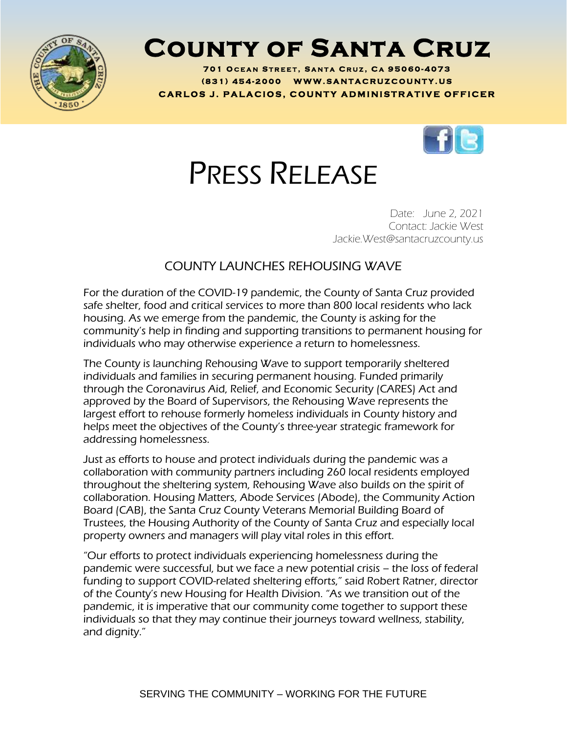

## **County of Santa Cruz**

701 OCEAN STREET, SANTA CRUZ, CA 95060-4073 **( 8 3 1 ) <sup>454</sup> - <sup>200</sup> <sup>0</sup> W W W . S A N T A C R U Z C O U N T Y . U S C A R L O S J . P A L A C I O S , C O U N T Y A D M I N I S T R A T I V E O F F I C E R**



## PRESS RELEASE

Date: June 2, 2021 Contact: Jackie West Jackie.West@santacruzcounty.us

## COUNTY LAUNCHES REHOUSING WAVE

For the duration of the COVID-19 pandemic, the County of Santa Cruz provided safe shelter, food and critical services to more than 800 local residents who lack housing. As we emerge from the pandemic, the County is asking for the community's help in finding and supporting transitions to permanent housing for individuals who may otherwise experience a return to homelessness.

The County is launching Rehousing Wave to support temporarily sheltered individuals and families in securing permanent housing. Funded primarily through the Coronavirus Aid, Relief, and Economic Security (CARES) Act and approved by the Board of Supervisors, the Rehousing Wave represents the largest effort to rehouse formerly homeless individuals in County history and helps meet the objectives of the County's three-year strategic framework for addressing homelessness.

Just as efforts to house and protect individuals during the pandemic was a collaboration with community partners including 260 local residents employed throughout the sheltering system, Rehousing Wave also builds on the spirit of collaboration. Housing Matters, Abode Services (Abode), the Community Action Board (CAB), the Santa Cruz County Veterans Memorial Building Board of Trustees, the Housing Authority of the County of Santa Cruz and especially local property owners and managers will play vital roles in this effort.

"Our efforts to protect individuals experiencing homelessness during the pandemic were successful, but we face a new potential crisis – the loss of federal funding to support COVID-related sheltering efforts," said Robert Ratner, director of the County's new Housing for Health Division. "As we transition out of the pandemic, it is imperative that our community come together to support these individuals so that they may continue their journeys toward wellness, stability, and dignity."